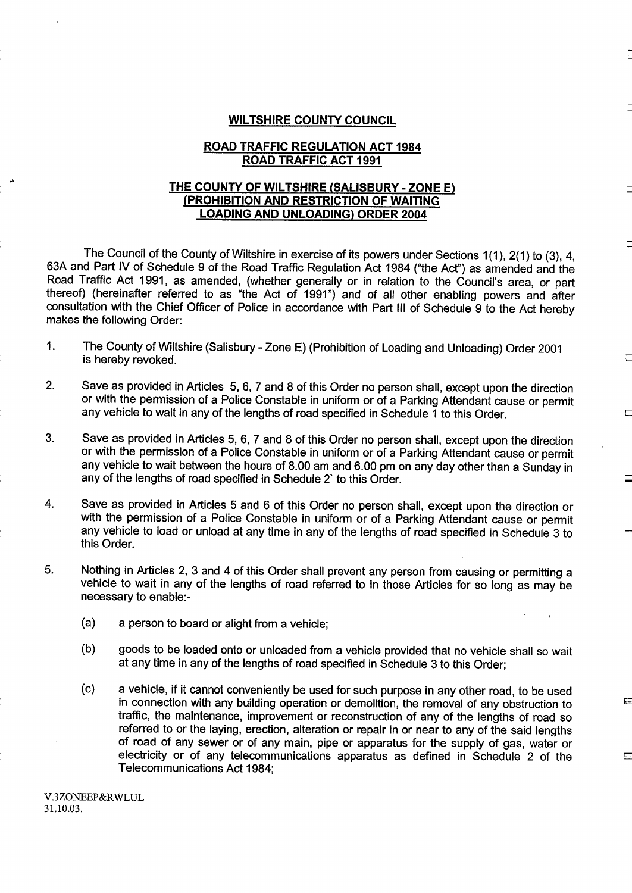#### WILTSHIRE COUNTY COUNCIL

#### ROAD TRAFFIC REGULATION ACT 1984 ROAD TRAFFIC ACT 1991

#### THE COUNTY OF WILTSHIRE (SALISBURY - ZONE E) (PROHIBITION AND RESTRICTION OF WAITING LOADING AND UNLOADING) ORDER 2004

The Council of the County of Wiltshire in exercise of its powers under Sections 1(1), 2(1) to (3), 4, 63A and Part IV of Schedule 9 of the Road Traffic Regulation Act 1984 ("the Act") as amended and the Road Traffic Act 1991, as amended, (whether generally or in relation to the Council's area, or part thereof) (hereinafter referred to as "the Act of 1991") and of all other enabling powers and after consultation with the Chief Officer of Police in accordance with Part III of Schedule 9 to the Act hereby makes the following Order:

- 1. The County of Wiltshire (Salisbury Zone E) (Prohibition of Loading and Unloading) Order 2001 is hereby revoked.
- 2. Save as provided in Articles 5, 6, 7 and 8 of this Order no person shall, except upon the direction or with the permission of a Police Constable in uniform or of a Parking Attendant cause or permit any vehicle to wait in any of the lengths of road specified in Schedule <sup>1</sup> to this Order.
- 3. Save as provided in Articles 5, 6, <sup>7</sup> and <sup>8</sup> of this Order no person shall, except upon the direction or with the permission of a Police Constable in uniform or of a Parking Attendant cause or permit any vehicle to wait between the hours of 8.00 am and 6.00 pm on any day other than <sup>a</sup> Sunday in any of the lengths of road specified in Schedule <sup>2</sup>' to this Order.
- 4. Save as provided in Articles <sup>5</sup> and <sup>6</sup> of this Order no person shall, except upon the direction or with the permission of a Police Constable in uniform or of a Parking Attendant cause or permit any vehicle to load or unload at any time in any of the lengths of road specified in Schedule 3 to this Order.
- 5. Nothing in Articles 2, 3 and 4 of this Order shall prevent any person from causing or permitting a vehicle to wait in any of the lengths of road referred to in those Articles for so long as may be necessary to enable:-
	- (a) a person to board or alight from a vehicle;
	- (b) goods to be loaded onto or unloaded from <sup>a</sup> vehicle provided that no vehicle shall so wait at any time in any of the lengths of road specified in Schedule 3 to this Order;
	- (c) a vehicle, if it cannot conveniently be used for such purpose in any other road, to be used in connection with any building operation or demolition, the removal of any obstruction to traffic, the maintenance, improvement or reconstruction of any of the lengths of road so referred to or the laying, erection, alteration or repair in or near to any of the said lengths of road of any sewer or of any main, pipe or apparatus for the supply of gas, water or electricity or of any telecommunications apparatus as defined in Schedule 2 of the Telecommunications Act 1984;

E.

V.3ZONEEP&RWLUL 31 .10.03 .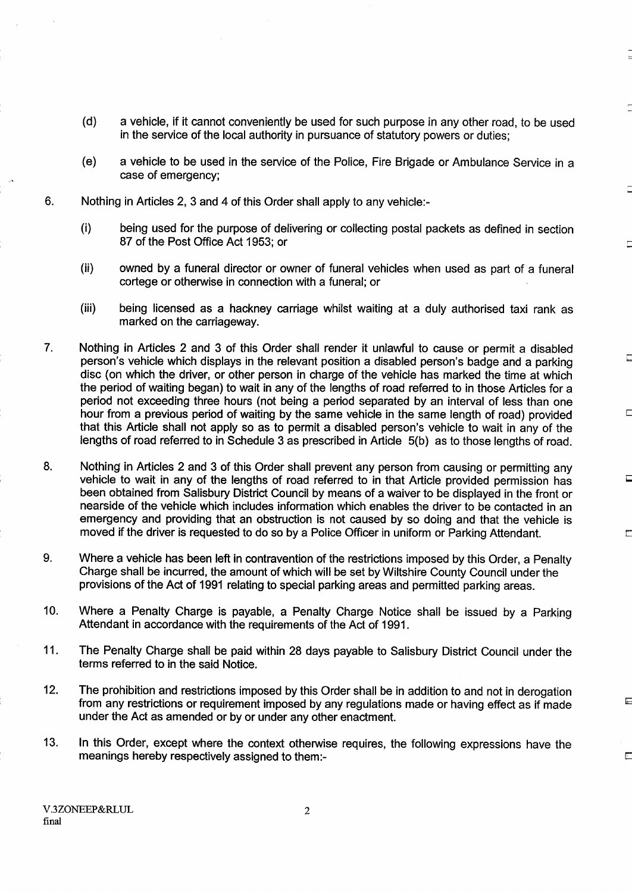- (d) a vehicle, if it cannot conveniently be used for such purpose in any other road, to be used in the service of the local authority in pursuance of statutory powers or duties:
- (e) a vehicle to be used in the service of the Police, Fire Brigade or Ambulance Service in a case of emergency;
- 6. Nothing in Articles 2, 3 and 4 of this Order shall apply to any vehicle:-
	- $(i)$ being used for the purpose of delivering or collecting postal packets as defined in section 87 of the Post Office Act 1953; or
	- (ii) owned by a funeral director or owner of funeral vehicles when used as part of a funeral cortege or otherwise in connection with a funeral; or
	- (iii) being licensed as a hackney carriage whilst waiting at a duly authorised taxi rank as marked on the carriageway.

Ę

區

Ë

- 7. Nothing in Articles 2 and 3 of this Order shall render it unlawful to cause or permit a disabled person's vehicle which displays in the relevant position a disabled person's badge and a parking disc (on which the driver, or other person in charge of the vehicle has marked the time at which the period of waiting began) to wait in any of the lengths of road referred to in those Articles for a period not exceeding three hours (not being a period separated by an interval of less than one hour from a previous period of waiting by the same vehicle in the same length of road) provided that this Article shall not apply so as to permit a disabled person's vehicle to wait in any of the lengths of road referred to in Schedule 3 as prescribed in Article 5(b) as to those lengths of road.
- 8. Nothing in Articles 2 and 3 of this Order shall prevent any person from causing or permitting any vehicle to wait in any of the lengths of road referred to in that Article provided permission has been obtained from Salisbury District Council by means of a waiver to be displayed in the front or nearside of the vehicle which includes information which enables the driver to be contacted in an emergency and providing that an obstruction is not caused by so doing and that the vehicle is moved if the driver is requested to do so by a Police Officer in uniform or Parking Attendant.
- 9. Where a vehicle has been left in contravention of the restrictions imposed by this Order, a Penalty Charge shall be incurred, the amount of which will be set by Wiltshire County Council under the provisions of the Act of 1991 relating to special parking areas and permitted parking areas.
- 10. Where a Penalty Charge is payable, a Penalty Charge Notice shall be issued by a Parking Attendant in accordance with the requirements of the Act of 1991 .
- <sup>11</sup> . The Penalty Charge shall be paid within 28 days payable to Salisbury District Council under the terms referred to in the said Notice.
- 12. The prohibition and restrictions imposed by this Order shall be in addition to and not in derogation from any restrictions or requirement imposed by any regulations made or having effect as if made under the Act as amended or by or under any other enactment.
- 13. In this Order, except where the context otherwise requires, the following expressions have the meanings hereby respectively assigned to them:-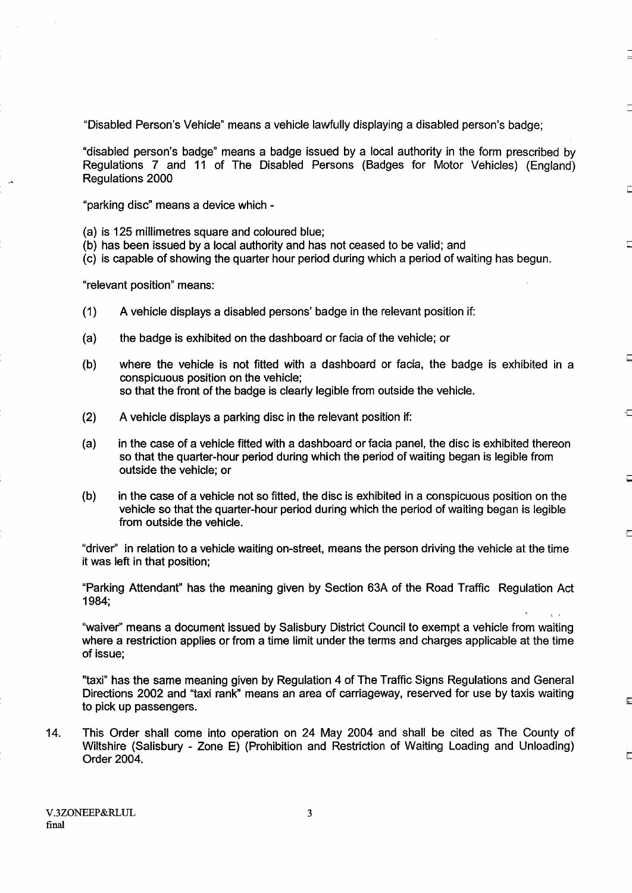"Disabled Person's Vehicle" means a vehicle lawfully displaying a disabled person's badge;

"disabled person's badge" means a badge issued by a local authority in the form prescribed by Regulations 7 and 11 of The Disabled Persons (Badges for Motor Vehicles) (England) Regulations 2000

Ē

-г

長

E

"parking disc" means a device which -

(a) is 125 millimetres square and coloured blue;

- (b) has been issued by a local authority and has not ceased to be valid; and
- (c) is capable of showing the quarter hour period during which a period of waiting has begun.

"relevant position" means:

- (1) A vehicle displays <sup>a</sup> disabled persons' badge in the relevant position if:
- (a) the badge is exhibited on the dashboard or facia of the vehicle; or
- (b) where the vehicle is not fitted with a dashboard or facia, the badge is exhibited in a conspicuous position on the vehicle; so that the front of the badge is clearly legible from outside the vehicle.
- (2) A vehicle displays a parking disc in the relevant position if:
- (a) in the case of a vehicle fitted with a dashboard or facia panel, the disc is exhibited thereon so that the quarter-hour period during which the period of waiting began is legible from outside the vehicle; or
- (b) in the case of a vehicle not so fitted, the disc is exhibited in a conspicuous position on the vehicle so that the quarter-hour period during which the period of waiting began is legible from outside the vehicle .

"driver" in relation to a vehicle waiting on-street, means the person driving the vehicle at the time it was left in that position;

"Parking Attendant" has the meaning given by Section 63A of the Road Traffic Regulation Act 1984;

"waiver" means a document issued by Salisbury District Council to exempt a vehicle from waiting where a restriction applies or from a time limit under the terms and charges applicable at the time of issue;

"taxi" has the same meaning given by Regulation 4 of The Traffic Signs Regulations and General Directions 2002 and "taxi rank" means an area of carriageway, reserved for use by taxis waiting to pick up passengers.

14. This Order shall come into operation on 24 May 2004 and shall be cited as The County of Wiltshire (Salisbury - Zone E) (Prohibition and Restriction of Waiting Loading and Unloading) Order 2004.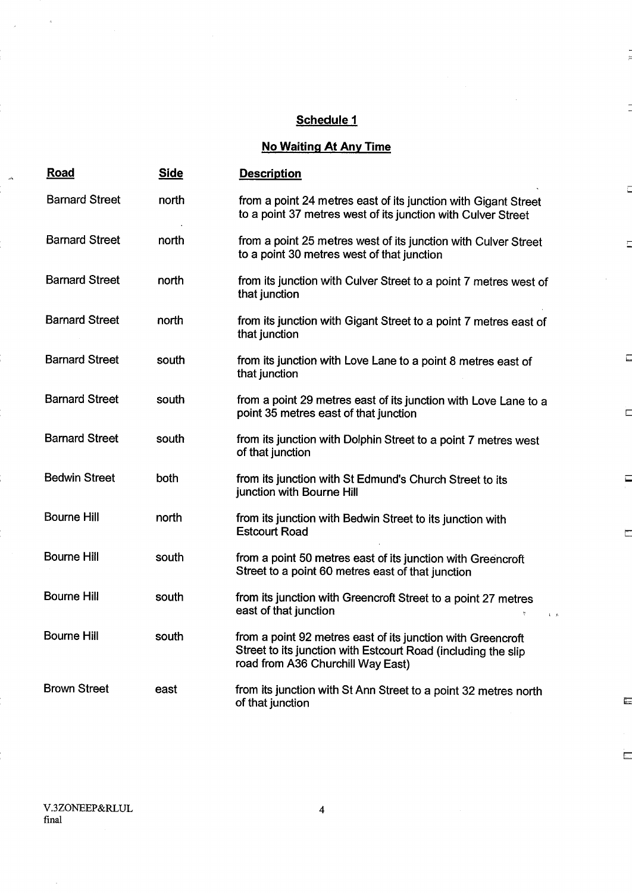### Schedule <sup>1</sup>

 $\mathbf{r}$ 

Ē

Ē

 $\Box$ 

Ë

 $\Box$ 

 $\Box$ 

 $\overline{\mathbf{g}}$ 

 $\overline{\phantom{a}}$ 

# **No Waiting At Any Time**

| <u>Road</u>           | <b>Side</b> | <b>Description</b>                                                                                                                                                |
|-----------------------|-------------|-------------------------------------------------------------------------------------------------------------------------------------------------------------------|
| <b>Barnard Street</b> | north       | from a point 24 metres east of its junction with Gigant Street<br>to a point 37 metres west of its junction with Culver Street                                    |
| <b>Barnard Street</b> | north       | from a point 25 metres west of its junction with Culver Street<br>to a point 30 metres west of that junction                                                      |
| <b>Barnard Street</b> | north       | from its junction with Culver Street to a point 7 metres west of<br>that junction                                                                                 |
| <b>Barnard Street</b> | north       | from its junction with Gigant Street to a point 7 metres east of<br>that junction                                                                                 |
| <b>Barnard Street</b> | south       | from its junction with Love Lane to a point 8 metres east of<br>that junction                                                                                     |
| <b>Barnard Street</b> | south       | from a point 29 metres east of its junction with Love Lane to a<br>point 35 metres east of that junction                                                          |
| <b>Barnard Street</b> | south       | from its junction with Dolphin Street to a point 7 metres west<br>of that junction                                                                                |
| <b>Bedwin Street</b>  | both        | from its junction with St Edmund's Church Street to its<br>junction with Bourne Hill                                                                              |
| <b>Bourne Hill</b>    | north       | from its junction with Bedwin Street to its junction with<br><b>Estcourt Road</b>                                                                                 |
| <b>Bourne Hill</b>    | south       | from a point 50 metres east of its junction with Greencroft<br>Street to a point 60 metres east of that junction                                                  |
| <b>Bourne Hill</b>    | south       | from its junction with Greencroft Street to a point 27 metres<br>east of that junction                                                                            |
| <b>Bourne Hill</b>    | south       | from a point 92 metres east of its junction with Greencroft<br>Street to its junction with Estcourt Road (including the slip<br>road from A36 Churchill Way East) |
| <b>Brown Street</b>   | east        | from its junction with St Ann Street to a point 32 metres north<br>of that junction                                                                               |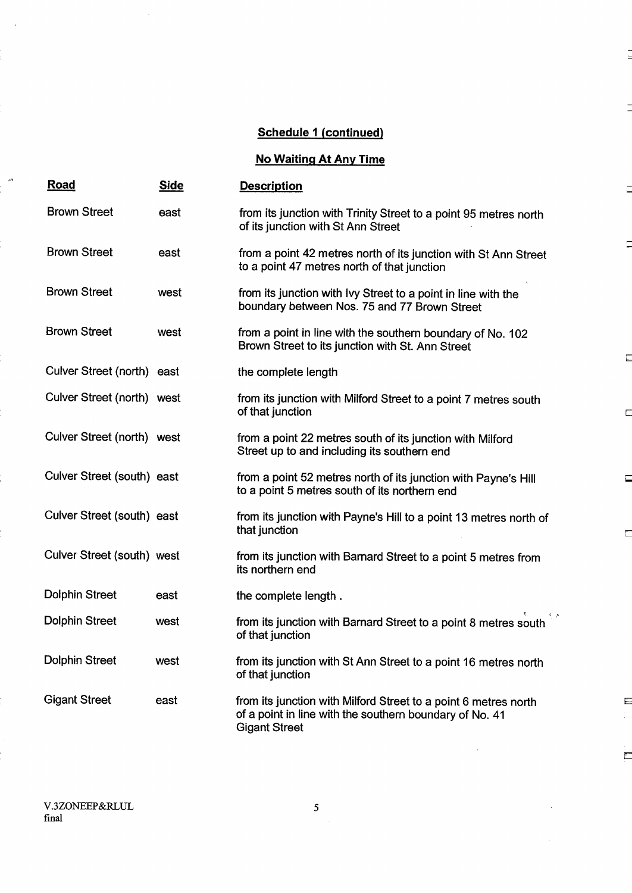$\frac{1}{2}$ 

 $\mathbb{E}$ 

## No Waiting At Any Time

| <u>Road</u>                | <b>Side</b> | <b>Description</b>                                                                                                                                 | Д      |
|----------------------------|-------------|----------------------------------------------------------------------------------------------------------------------------------------------------|--------|
| <b>Brown Street</b>        | east        | from its junction with Trinity Street to a point 95 metres north<br>of its junction with St Ann Street                                             |        |
| <b>Brown Street</b>        | east        | from a point 42 metres north of its junction with St Ann Street<br>to a point 47 metres north of that junction                                     | Ę      |
| <b>Brown Street</b>        | west        | from its junction with Ivy Street to a point in line with the<br>boundary between Nos. 75 and 77 Brown Street                                      |        |
| <b>Brown Street</b>        | west        | from a point in line with the southern boundary of No. 102<br>Brown Street to its junction with St. Ann Street                                     | $\Box$ |
| Culver Street (north) east |             | the complete length                                                                                                                                |        |
| Culver Street (north) west |             | from its junction with Milford Street to a point 7 metres south<br>of that junction                                                                | E      |
| Culver Street (north) west |             | from a point 22 metres south of its junction with Milford<br>Street up to and including its southern end                                           |        |
| Culver Street (south) east |             | from a point 52 metres north of its junction with Payne's Hill<br>to a point 5 metres south of its northern end                                    | Ξ      |
| Culver Street (south) east |             | from its junction with Payne's Hill to a point 13 metres north of<br>that junction                                                                 | ⊏      |
| Culver Street (south) west |             | from its junction with Barnard Street to a point 5 metres from<br>its northern end                                                                 |        |
| <b>Dolphin Street</b>      | east        | the complete length.                                                                                                                               |        |
| <b>Dolphin Street</b>      | west        | $\sqrt{2}$<br>from its junction with Barnard Street to a point 8 metres south<br>of that junction                                                  |        |
| <b>Dolphin Street</b>      | west        | from its junction with St Ann Street to a point 16 metres north<br>of that junction                                                                |        |
| <b>Gigant Street</b>       | east        | from its junction with Milford Street to a point 6 metres north<br>of a point in line with the southern boundary of No. 41<br><b>Gigant Street</b> | Ę.     |

 $\omega$ 

 $\overline{\mathbf{5}}$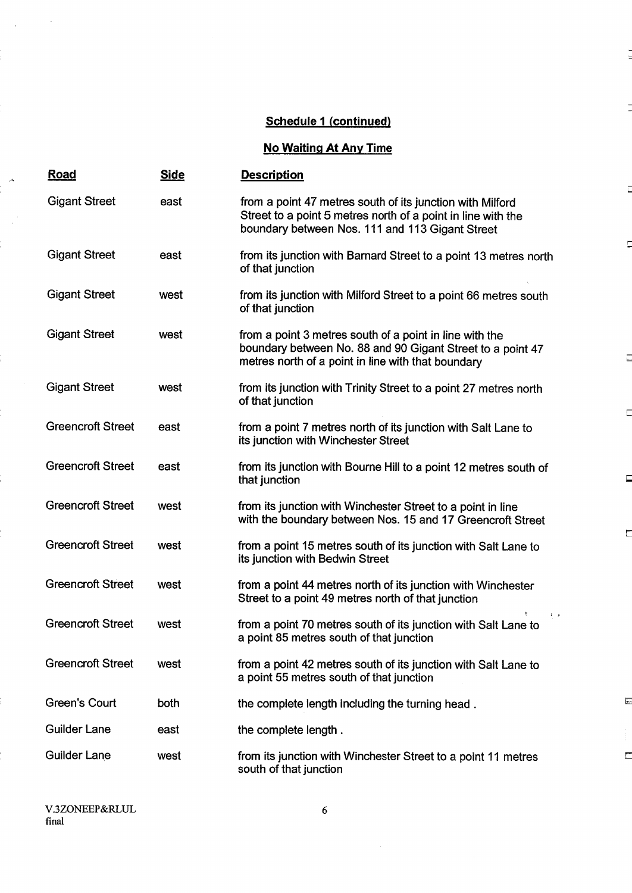$\frac{1}{2}$ 

İ

 $\Box$ 

 $\overline{C}$ 

 $\overline{\overline{a}}$ 

 $\Box$ 

 $\Box$ 

 $\Box$ 

 $\overline{\mathbf{r}}$ 

 $\Box$ 

## No Waiting At Any Time

| <b>Road</b>              | <b>Side</b> | <b>Description</b>                                                                                                                                                           |
|--------------------------|-------------|------------------------------------------------------------------------------------------------------------------------------------------------------------------------------|
| <b>Gigant Street</b>     | east        | from a point 47 metres south of its junction with Milford<br>Street to a point 5 metres north of a point in line with the<br>boundary between Nos. 111 and 113 Gigant Street |
| <b>Gigant Street</b>     | east        | from its junction with Barnard Street to a point 13 metres north<br>of that junction                                                                                         |
| <b>Gigant Street</b>     | west        | from its junction with Milford Street to a point 66 metres south<br>of that junction                                                                                         |
| <b>Gigant Street</b>     | west        | from a point 3 metres south of a point in line with the<br>boundary between No. 88 and 90 Gigant Street to a point 47<br>metres north of a point in line with that boundary  |
| <b>Gigant Street</b>     | west        | from its junction with Trinity Street to a point 27 metres north<br>of that junction                                                                                         |
| <b>Greencroft Street</b> | east        | from a point 7 metres north of its junction with Salt Lane to<br>its junction with Winchester Street                                                                         |
| <b>Greencroft Street</b> | east        | from its junction with Bourne Hill to a point 12 metres south of<br>that junction                                                                                            |
| <b>Greencroft Street</b> | west        | from its junction with Winchester Street to a point in line<br>with the boundary between Nos. 15 and 17 Greencroft Street                                                    |
| <b>Greencroft Street</b> | west        | from a point 15 metres south of its junction with Salt Lane to<br>its junction with Bedwin Street                                                                            |
| <b>Greencroft Street</b> | west        | from a point 44 metres north of its junction with Winchester<br>Street to a point 49 metres north of that junction                                                           |
| <b>Greencroft Street</b> | west        | k,<br>from a point 70 metres south of its junction with Salt Lane to<br>a point 85 metres south of that junction                                                             |
| <b>Greencroft Street</b> | west        | from a point 42 metres south of its junction with Salt Lane to<br>a point 55 metres south of that junction                                                                   |
| <b>Green's Court</b>     | both        | the complete length including the turning head.                                                                                                                              |
| <b>Guilder Lane</b>      | east        | the complete length.                                                                                                                                                         |
| <b>Guilder Lane</b>      | west        | from its junction with Winchester Street to a point 11 metres<br>south of that junction                                                                                      |

 $\mathcal{A}$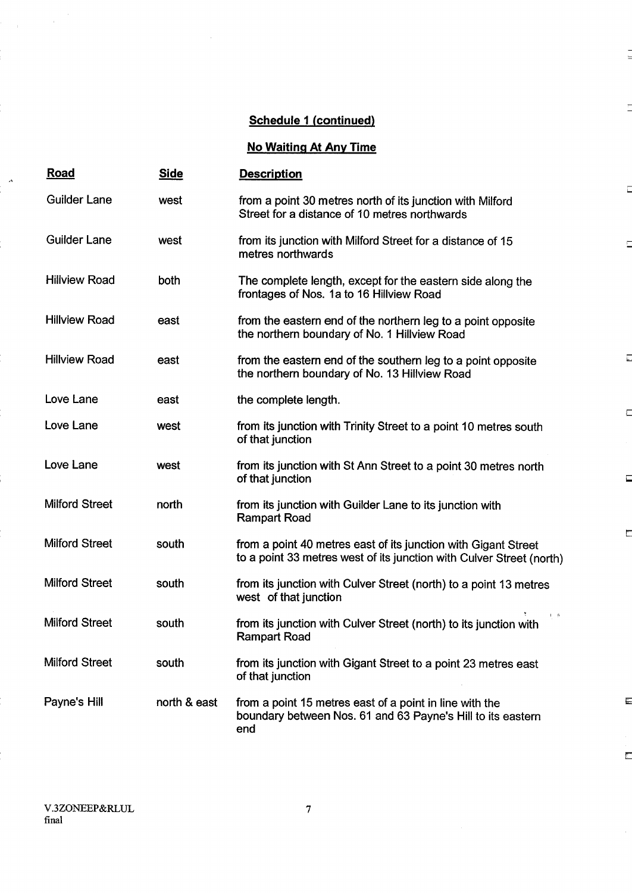$\frac{1}{2}$ 

Γ

 $\Box$ 

 $\Box$ 

 $\Box$ 

 $\Box$ 

 $\Box$ 

 $\overline{\mathbb{C}}$ 

 $\blacksquare$ 

 $\overline{\mathbb{E}}$ 

## No Waiting At Any Time

| <u>Road</u>           | <u>Side</u>  | <b>Description</b>                                                                                                                     |
|-----------------------|--------------|----------------------------------------------------------------------------------------------------------------------------------------|
| <b>Guilder Lane</b>   | west         | from a point 30 metres north of its junction with Milford<br>Street for a distance of 10 metres northwards                             |
| <b>Guilder Lane</b>   | west         | from its junction with Milford Street for a distance of 15<br>metres northwards                                                        |
| <b>Hillview Road</b>  | both         | The complete length, except for the eastern side along the<br>frontages of Nos. 1a to 16 Hillview Road                                 |
| <b>Hillview Road</b>  | east         | from the eastern end of the northern leg to a point opposite<br>the northern boundary of No. 1 Hillview Road                           |
| <b>Hillview Road</b>  | east         | from the eastern end of the southern leg to a point opposite<br>the northern boundary of No. 13 Hillview Road                          |
| Love Lane             | east         | the complete length.                                                                                                                   |
| Love Lane             | west         | from its junction with Trinity Street to a point 10 metres south<br>of that junction                                                   |
| Love Lane             | west         | from its junction with St Ann Street to a point 30 metres north<br>of that junction                                                    |
| <b>Milford Street</b> | north        | from its junction with Guilder Lane to its junction with<br><b>Rampart Road</b>                                                        |
| <b>Milford Street</b> | south        | from a point 40 metres east of its junction with Gigant Street<br>to a point 33 metres west of its junction with Culver Street (north) |
| <b>Milford Street</b> | south        | from its junction with Culver Street (north) to a point 13 metres<br>west of that junction                                             |
| <b>Milford Street</b> | south        | $\mathbf{I}=\mathbf{A}$<br>from its junction with Culver Street (north) to its junction with<br><b>Rampart Road</b>                    |
| <b>Milford Street</b> | south        | from its junction with Gigant Street to a point 23 metres east<br>of that junction                                                     |
| Payne's Hill          | north & east | from a point 15 metres east of a point in line with the<br>boundary between Nos. 61 and 63 Payne's Hill to its eastern<br>end          |

 $\mathcal{A}^{\mathcal{A}}$ 

 $\mathcal{A}$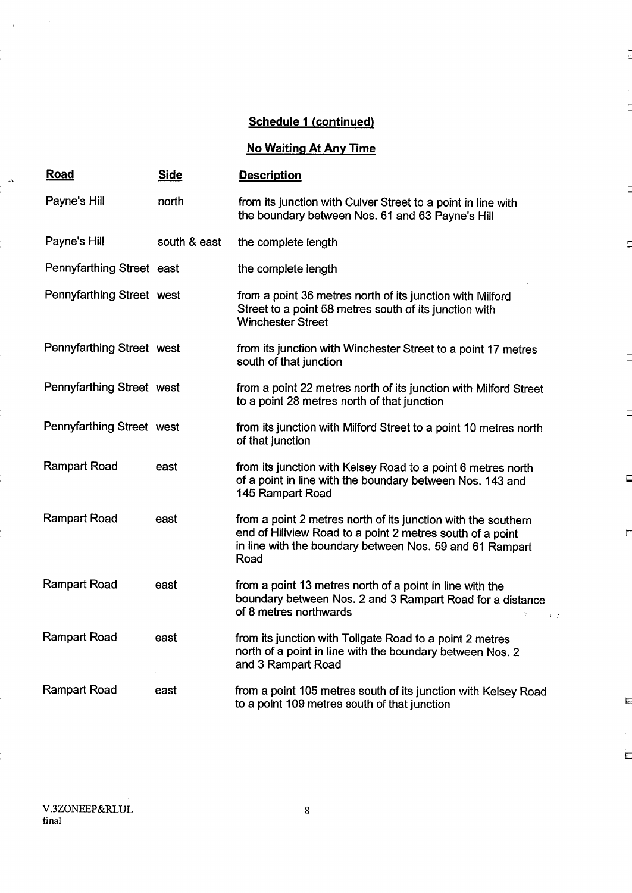$\frac{1}{2}$ 

Ē

 $\Box$ 

 $\overline{a}$ 

 $\Box$ 

 $\Box$ 

 $\Box$ 

 $\Box$ 

 $\overline{\phantom{a}}$ 

 $\overline{\mathbb{E}}$ 

 $\bar{p}$ 

# No Waiting At Any Time

| <b>Road</b>               | <u>Side</u>  | <b>Description</b>                                                                                                                                                                             |
|---------------------------|--------------|------------------------------------------------------------------------------------------------------------------------------------------------------------------------------------------------|
| Payne's Hill              | north        | from its junction with Culver Street to a point in line with<br>the boundary between Nos. 61 and 63 Payne's Hill                                                                               |
| Payne's Hill              | south & east | the complete length                                                                                                                                                                            |
| Pennyfarthing Street east |              | the complete length                                                                                                                                                                            |
| Pennyfarthing Street west |              | from a point 36 metres north of its junction with Milford<br>Street to a point 58 metres south of its junction with<br><b>Winchester Street</b>                                                |
| Pennyfarthing Street west |              | from its junction with Winchester Street to a point 17 metres<br>south of that junction                                                                                                        |
| Pennyfarthing Street west |              | from a point 22 metres north of its junction with Milford Street<br>to a point 28 metres north of that junction                                                                                |
| Pennyfarthing Street west |              | from its junction with Milford Street to a point 10 metres north<br>of that junction                                                                                                           |
| <b>Rampart Road</b>       | east         | from its junction with Kelsey Road to a point 6 metres north<br>of a point in line with the boundary between Nos. 143 and<br>145 Rampart Road                                                  |
| <b>Rampart Road</b>       | east         | from a point 2 metres north of its junction with the southern<br>end of Hillview Road to a point 2 metres south of a point<br>in line with the boundary between Nos. 59 and 61 Rampart<br>Road |
| <b>Rampart Road</b>       | east         | from a point 13 metres north of a point in line with the<br>boundary between Nos. 2 and 3 Rampart Road for a distance<br>of 8 metres northwards                                                |
| <b>Rampart Road</b>       | east         | from its junction with Tollgate Road to a point 2 metres<br>north of a point in line with the boundary between Nos. 2<br>and 3 Rampart Road                                                    |
| Rampart Road              | east         | from a point 105 metres south of its junction with Kelsey Road<br>to a point 109 metres south of that junction                                                                                 |

 $\bar{a}$ 

 $\mathbb{R}^4$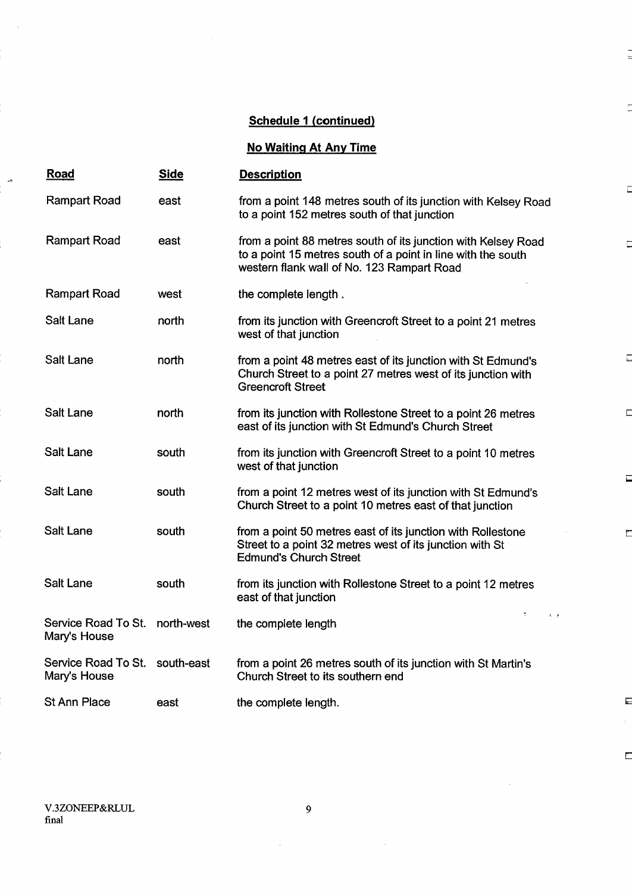Ξ

 $\overline{1}$ 

 $\blacksquare$ 

 $\square$ 

 $\Box$ 

г

 $\overline{\phantom{a}}$ 

E

 $\overline{\mathbb{Z}}$ 

## No Waiting At Any Time

| <u>Road</u>                                    | <b>Side</b> | <b>Description</b>                                                                                                                                                          |
|------------------------------------------------|-------------|-----------------------------------------------------------------------------------------------------------------------------------------------------------------------------|
| Rampart Road                                   | east        | from a point 148 metres south of its junction with Kelsey Road<br>to a point 152 metres south of that junction                                                              |
| Rampart Road                                   | east        | from a point 88 metres south of its junction with Kelsey Road<br>to a point 15 metres south of a point in line with the south<br>western flank wall of No. 123 Rampart Road |
| <b>Rampart Road</b>                            | west        | the complete length.                                                                                                                                                        |
| Salt Lane                                      | north       | from its junction with Greencroft Street to a point 21 metres<br>west of that junction                                                                                      |
| <b>Salt Lane</b>                               | north       | from a point 48 metres east of its junction with St Edmund's<br>Church Street to a point 27 metres west of its junction with<br><b>Greencroft Street</b>                    |
| Salt Lane                                      | north       | from its junction with Rollestone Street to a point 26 metres<br>east of its junction with St Edmund's Church Street                                                        |
| <b>Salt Lane</b>                               | south       | from its junction with Greencroft Street to a point 10 metres<br>west of that junction                                                                                      |
| Salt Lane                                      | south       | from a point 12 metres west of its junction with St Edmund's<br>Church Street to a point 10 metres east of that junction                                                    |
| <b>Salt Lane</b>                               | south       | from a point 50 metres east of its junction with Rollestone<br>Street to a point 32 metres west of its junction with St<br><b>Edmund's Church Street</b>                    |
| <b>Salt Lane</b>                               | south       | from its junction with Rollestone Street to a point 12 metres<br>east of that junction                                                                                      |
| Service Road To St.<br>Mary's House            | north-west  | ¥.<br>$\bar{\mathbf{t}}$<br>the complete length                                                                                                                             |
| Service Road To St. south-east<br>Mary's House |             | from a point 26 metres south of its junction with St Martin's<br>Church Street to its southern end                                                                          |
| <b>St Ann Place</b>                            | east        | the complete length.                                                                                                                                                        |

 $\bar{1}$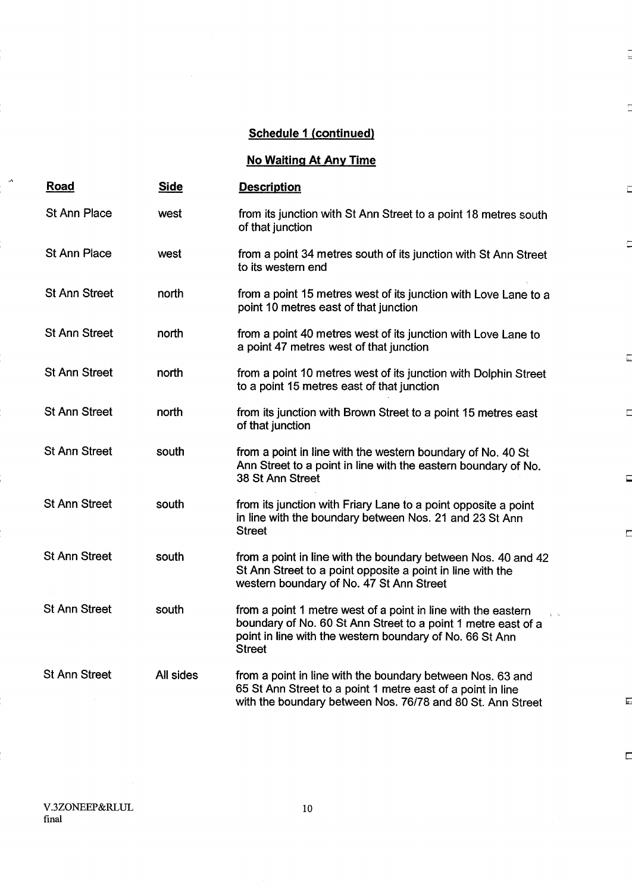## No Waiting At Any Time

| Road                 | <b>Side</b> | <b>Description</b>                                                                                                                                                                                                        |
|----------------------|-------------|---------------------------------------------------------------------------------------------------------------------------------------------------------------------------------------------------------------------------|
| <b>St Ann Place</b>  | west        | from its junction with St Ann Street to a point 18 metres south<br>of that junction                                                                                                                                       |
| <b>St Ann Place</b>  | west        | from a point 34 metres south of its junction with St Ann Street<br>to its western end                                                                                                                                     |
| <b>St Ann Street</b> | north       | from a point 15 metres west of its junction with Love Lane to a<br>point 10 metres east of that junction                                                                                                                  |
| <b>St Ann Street</b> | north       | from a point 40 metres west of its junction with Love Lane to<br>a point 47 metres west of that junction                                                                                                                  |
| <b>St Ann Street</b> | north       | from a point 10 metres west of its junction with Dolphin Street<br>to a point 15 metres east of that junction                                                                                                             |
| <b>St Ann Street</b> | north       | from its junction with Brown Street to a point 15 metres east<br>of that junction                                                                                                                                         |
| <b>St Ann Street</b> | south       | from a point in line with the western boundary of No. 40 St<br>Ann Street to a point in line with the eastern boundary of No.<br>38 St Ann Street                                                                         |
| <b>St Ann Street</b> | south       | from its junction with Friary Lane to a point opposite a point<br>in line with the boundary between Nos. 21 and 23 St Ann<br><b>Street</b>                                                                                |
| <b>St Ann Street</b> | south       | from a point in line with the boundary between Nos. 40 and 42<br>St Ann Street to a point opposite a point in line with the<br>western boundary of No. 47 St Ann Street                                                   |
| <b>St Ann Street</b> | south       | from a point 1 metre west of a point in line with the eastern<br>$\sqrt{1}$<br>boundary of No. 60 St Ann Street to a point 1 metre east of a<br>point in line with the western boundary of No. 66 St Ann<br><b>Street</b> |
| <b>St Ann Street</b> | All sides   | from a point in line with the boundary between Nos. 63 and<br>65 St Ann Street to a point 1 metre east of a point in line<br>with the boundary between Nos. 76/78 and 80 St. Ann Street                                   |

 $\overline{\mathbb{E}}$ 

 $\overline{\mathbb{E}}$ 

 $\frac{1}{2}$ 

T

 $\bar{a}$ 

 $\overline{C}$ 

 $\overline{\underline{\underline{\phantom{a}}}}$ 

 $\Box$ 

 $\Box$ 

 $\Box$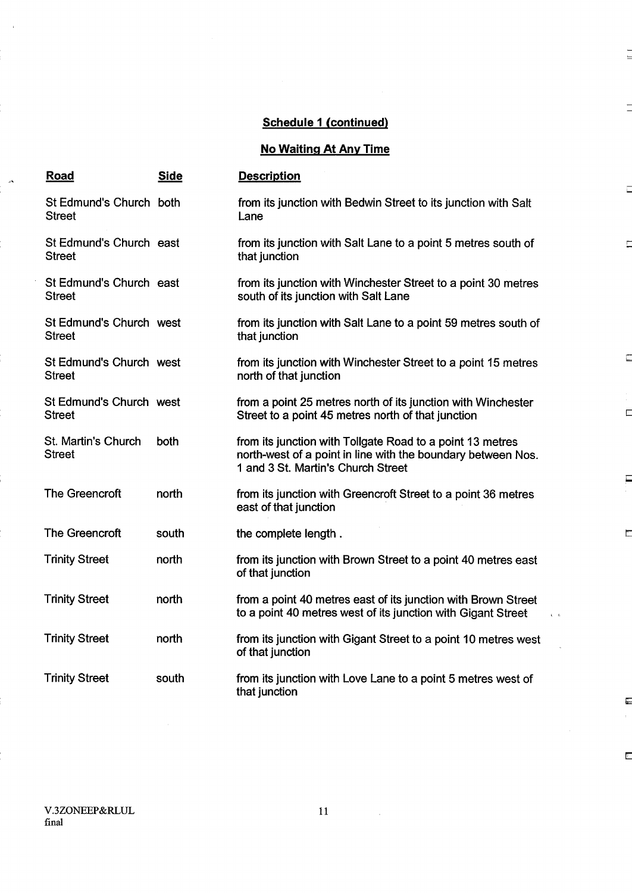$\frac{1}{2}$ 

Ē

 $\Box$ 

 $\Box$ 

 $\mathbb{E}$ 

É

 $\overline{\phantom{a}}$ 

 $\overline{\mathbf{g}}$ 

 $\mathbb{E}$ 

## No Waiting At Any Time

| <b>Road</b>                              | <b>Side</b> | <b>Description</b>                                                                                                                                              |
|------------------------------------------|-------------|-----------------------------------------------------------------------------------------------------------------------------------------------------------------|
| St Edmund's Church both<br><b>Street</b> |             | from its junction with Bedwin Street to its junction with Salt<br>Lane                                                                                          |
| St Edmund's Church east<br><b>Street</b> |             | from its junction with Salt Lane to a point 5 metres south of<br>that junction                                                                                  |
| St Edmund's Church east<br><b>Street</b> |             | from its junction with Winchester Street to a point 30 metres<br>south of its junction with Salt Lane                                                           |
| St Edmund's Church west<br><b>Street</b> |             | from its junction with Salt Lane to a point 59 metres south of<br>that junction                                                                                 |
| St Edmund's Church west<br><b>Street</b> |             | from its junction with Winchester Street to a point 15 metres<br>north of that junction                                                                         |
| St Edmund's Church west<br><b>Street</b> |             | from a point 25 metres north of its junction with Winchester<br>Street to a point 45 metres north of that junction                                              |
| St. Martin's Church<br><b>Street</b>     | both        | from its junction with Tollgate Road to a point 13 metres<br>north-west of a point in line with the boundary between Nos.<br>1 and 3 St. Martin's Church Street |
| The Greencroft                           | north       | from its junction with Greencroft Street to a point 36 metres<br>east of that junction                                                                          |
| The Greencroft                           | south       | the complete length.                                                                                                                                            |
| <b>Trinity Street</b>                    | north       | from its junction with Brown Street to a point 40 metres east<br>of that junction                                                                               |
| <b>Trinity Street</b>                    | north       | from a point 40 metres east of its junction with Brown Street<br>to a point 40 metres west of its junction with Gigant Street                                   |
| <b>Trinity Street</b>                    | north       | from its junction with Gigant Street to a point 10 metres west<br>of that junction                                                                              |
| <b>Trinity Street</b>                    | south       | from its junction with Love Lane to a point 5 metres west of<br>that junction                                                                                   |

 $\hat{\mathcal{L}}$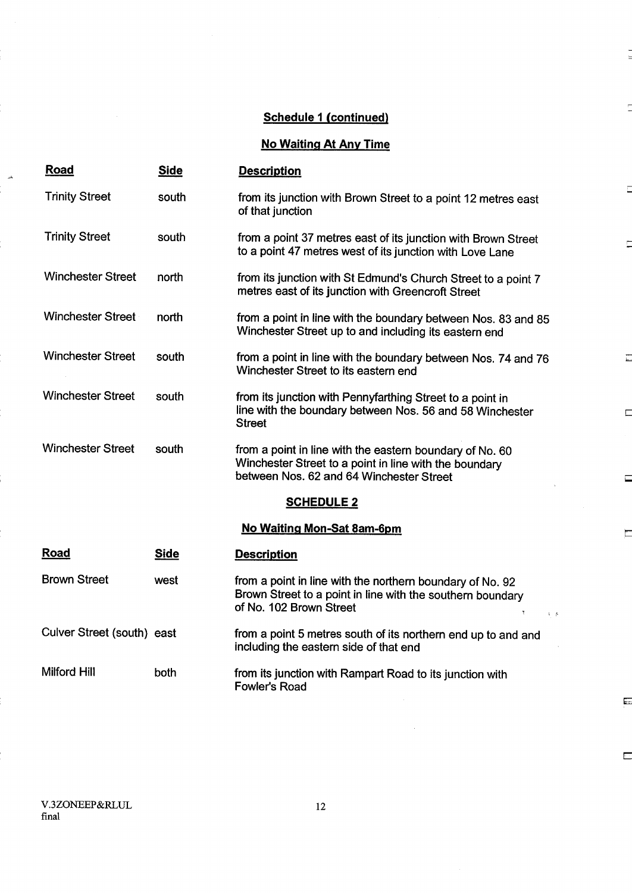$\frac{1}{2}$ 

Ē

D

 $\Box$ 

 $\Box$ 

 $\Box$ 

E

 $\overline{\phantom{a}}$ 

 $\overline{\mathbb{R}}$ 

No Waiting At Any Time

| <b>Road</b>                | <b>Side</b> | <b>Description</b>                                                                                                                                               |
|----------------------------|-------------|------------------------------------------------------------------------------------------------------------------------------------------------------------------|
| <b>Trinity Street</b>      | south       | from its junction with Brown Street to a point 12 metres east<br>of that junction                                                                                |
| <b>Trinity Street</b>      | south       | from a point 37 metres east of its junction with Brown Street<br>to a point 47 metres west of its junction with Love Lane                                        |
| <b>Winchester Street</b>   | north       | from its junction with St Edmund's Church Street to a point 7<br>metres east of its junction with Greencroft Street                                              |
| <b>Winchester Street</b>   | north       | from a point in line with the boundary between Nos. 83 and 85<br>Winchester Street up to and including its eastern end                                           |
| <b>Winchester Street</b>   | south       | from a point in line with the boundary between Nos. 74 and 76<br>Winchester Street to its eastern end                                                            |
| <b>Winchester Street</b>   | south       | from its junction with Pennyfarthing Street to a point in<br>line with the boundary between Nos. 56 and 58 Winchester<br><b>Street</b>                           |
| <b>Winchester Street</b>   | south       | from a point in line with the eastern boundary of No. 60<br>Winchester Street to a point in line with the boundary<br>between Nos. 62 and 64 Winchester Street   |
|                            |             | <b>SCHEDULE 2</b>                                                                                                                                                |
|                            |             | No Waiting Mon-Sat 8am-6pm                                                                                                                                       |
| Road                       | <b>Side</b> | <b>Description</b>                                                                                                                                               |
| <b>Brown Street</b>        | west        | from a point in line with the northern boundary of No. 92<br>Brown Street to a point in line with the southern boundary<br>of No. 102 Brown Street<br>$V\cdot P$ |
| Culver Street (south) east |             | from a point 5 metres south of its northern end up to and and<br>including the eastern side of that end                                                          |
| <b>Milford Hill</b>        | both        | from its junction with Rampart Road to its junction with<br><b>Fowler's Road</b>                                                                                 |

V.3ZONEEP&RLUL 12<br>final 12

z.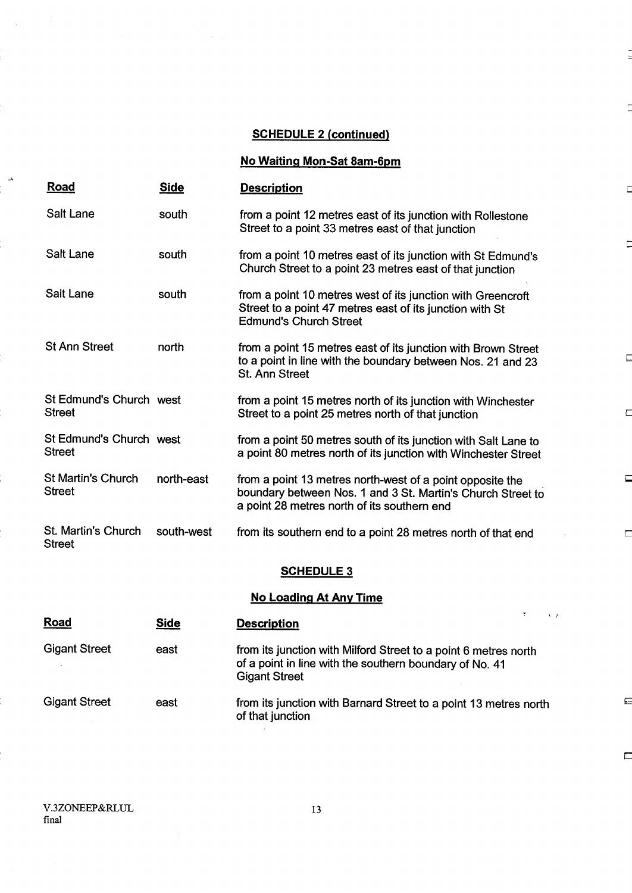### SCHEDULE 2 (continued)

 $\overline{a}$ 

Ē

 $\Box$ 

 $\Box$ 

 $\Box$ 

 $\Box$ 

 $\Box$ 

 $\Box$ 

 $\Box$ 

No Waiting Mon-Sat 8am-6pm

| Road                                       | <b>Side</b> | <b>Description</b>                                                                                                                                                      |
|--------------------------------------------|-------------|-------------------------------------------------------------------------------------------------------------------------------------------------------------------------|
| Salt Lane                                  | south       | from a point 12 metres east of its junction with Rollestone<br>Street to a point 33 metres east of that junction                                                        |
| Salt Lane                                  | south       | from a point 10 metres east of its junction with St Edmund's<br>Church Street to a point 23 metres east of that junction                                                |
| Salt Lane                                  | south       | from a point 10 metres west of its junction with Greencroft<br>Street to a point 47 metres east of its junction with St<br><b>Edmund's Church Street</b>                |
| <b>St Ann Street</b>                       | north       | from a point 15 metres east of its junction with Brown Street<br>to a point in line with the boundary between Nos. 21 and 23<br><b>St. Ann Street</b>                   |
| St Edmund's Church west<br><b>Street</b>   |             | from a point 15 metres north of its junction with Winchester<br>Street to a point 25 metres north of that junction                                                      |
| St Edmund's Church west<br><b>Street</b>   |             | from a point 50 metres south of its junction with Salt Lane to<br>a point 80 metres north of its junction with Winchester Street                                        |
| <b>St Martin's Church</b><br><b>Street</b> | north-east  | from a point 13 metres north-west of a point opposite the<br>boundary between Nos. 1 and 3 St. Martin's Church Street to<br>a point 28 metres north of its southern end |
| St. Martin's Church<br><b>Street</b>       | south-west  | from its southern end to a point 28 metres north of that end                                                                                                            |
|                                            |             | <b>SCHEDULE 3</b>                                                                                                                                                       |

### **No Loading At Any Time**

| <b>Road</b>          | <b>Side</b> | <b>Description</b>                                                                                                                                 |
|----------------------|-------------|----------------------------------------------------------------------------------------------------------------------------------------------------|
| <b>Gigant Street</b> | east        | from its junction with Milford Street to a point 6 metres north<br>of a point in line with the southern boundary of No. 41<br><b>Gigant Street</b> |
| <b>Gigant Street</b> | east        | from its junction with Barnard Street to a point 13 metres north<br>of that junction                                                               |

V.3ZONEEP&RLUL 13 final

 $\mathbf{r}$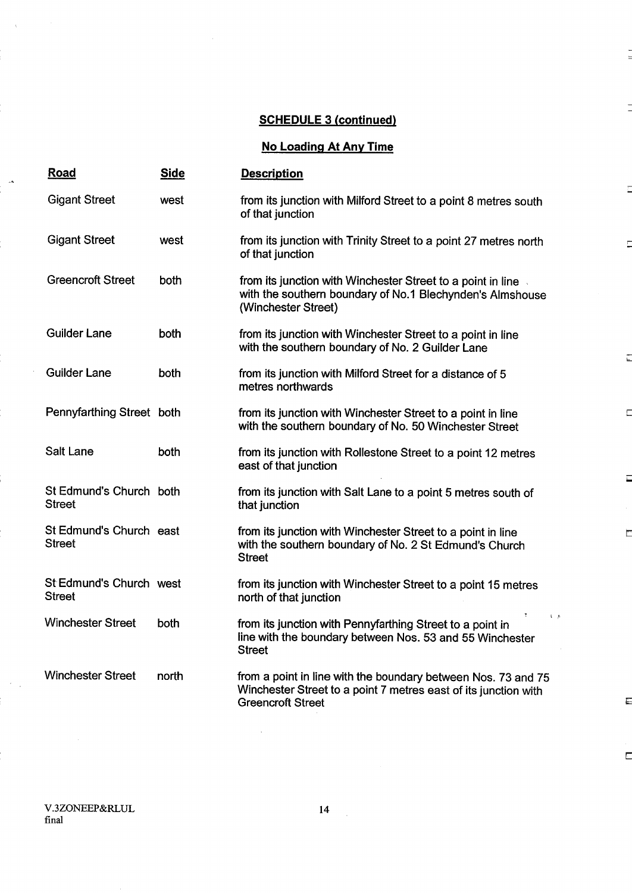### SCHEDULE <sup>3</sup> (continued)

 $\frac{1}{2}$ 

Ē

d

 $\overline{\overline{L}}$ 

 $\Box$ 

 $\Box$ 

 $\Box$ 

E

 $\overline{\mathbb{Z}}$ 

## No Loading At Any Time

| <b>Road</b>                              | <b>Side</b> | <b>Description</b>                                                                                                                                           |
|------------------------------------------|-------------|--------------------------------------------------------------------------------------------------------------------------------------------------------------|
| <b>Gigant Street</b>                     | west        | from its junction with Milford Street to a point 8 metres south<br>of that junction                                                                          |
| <b>Gigant Street</b>                     | west        | from its junction with Trinity Street to a point 27 metres north<br>of that junction                                                                         |
| <b>Greencroft Street</b>                 | both        | from its junction with Winchester Street to a point in line<br>with the southern boundary of No.1 Blechynden's Almshouse<br>(Winchester Street)              |
| <b>Guilder Lane</b>                      | both        | from its junction with Winchester Street to a point in line<br>with the southern boundary of No. 2 Guilder Lane                                              |
| <b>Guilder Lane</b>                      | both        | from its junction with Milford Street for a distance of 5<br>metres northwards                                                                               |
| Pennyfarthing Street both                |             | from its junction with Winchester Street to a point in line<br>with the southern boundary of No. 50 Winchester Street                                        |
| Salt Lane                                | both        | from its junction with Rollestone Street to a point 12 metres<br>east of that junction                                                                       |
| St Edmund's Church both<br>Street        |             | from its junction with Salt Lane to a point 5 metres south of<br>that junction                                                                               |
| St Edmund's Church east<br><b>Street</b> |             | from its junction with Winchester Street to a point in line<br>with the southern boundary of No. 2 St Edmund's Church<br><b>Street</b>                       |
| St Edmund's Church west<br><b>Street</b> |             | from its junction with Winchester Street to a point 15 metres<br>north of that junction                                                                      |
| <b>Winchester Street</b>                 | both        | from its junction with Pennyfarthing Street to a point in<br>line with the boundary between Nos. 53 and 55 Winchester<br><b>Street</b>                       |
| <b>Winchester Street</b>                 | north       | from a point in line with the boundary between Nos. 73 and 75<br>Winchester Street to a point 7 metres east of its junction with<br><b>Greencroft Street</b> |